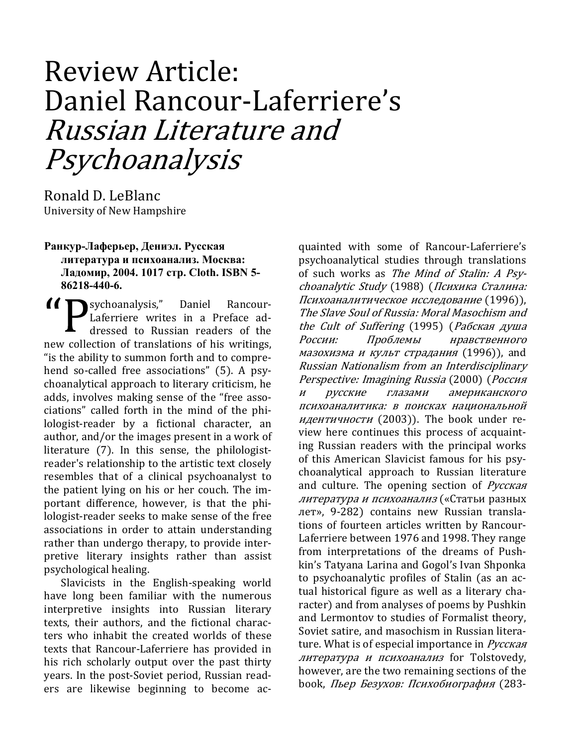## Review Article: Daniel Rancour-Laferriere's Russian Literature and Psychoanalysis

Ronald D. LeBlanc University of New Hampshire

## Ранкур-Лаферьер, Дениэл. Русская литература и психоанализ. Москва: Ладомир, 2004. 1017 стр. Cloth. ISBN 5-86218-440-6.

sychoanalysis," Daniel Rancour-Laferriere writes in a Preface addressed to Russian readers of the new collection of translations of his writings, "is the ability to summon forth and to comprehend so-called free associations" (5). A psychoanalytical approach to literary criticism, he adds, involves making sense of the "free associations" called forth in the mind of the philologist-reader by a fictional character, an author, and/or the images present in a work of literature (7). In this sense, the philologistreader's relationship to the artistic text closely resembles that of a clinical psychoanalyst to the patient lying on his or her couch. The important difference, however, is that the philologist-reader seeks to make sense of the free associations in order to attain understanding rather than undergo therapy, to provide interpretive literary insights rather than assist psychological healing.

Slavicists in the English-speaking world have long been familiar with the numerous interpretive insights into Russian literary texts, their authors, and the fictional characters who inhabit the created worlds of these texts that Rancour-Laferriere has provided in his rich scholarly output over the past thirty years. In the post-Soviet period, Russian readers are likewise beginning to become acquainted with some of Rancour-Laferriere's psychoanalytical studies through translations of such works as The Mind of Stalin: A Psychoanalytic Study (1988) (Психика Сталина: Психоаналитическое исследование (1996)), The Slave Soul of Russia: Moral Masochism and the Cult of Suffering (1995) (Рабская душа России: Проблемы нравственного мазохизма и культ страдания (1996)), and Russian Nationalism from an Interdisciplinary Perspective: Imagining Russia (2000) (Россия и русские глазами американского психоаналитика: в поисках национальной идентичности (2003)). The book under review here continues this process of acquainting Russian readers with the principal works of this American Slavicist famous for his psychoanalytical approach to Russian literature and culture. The opening section of *Русская* литература и психоанализ («Статьи разных лет», 9-282) contains new Russian translations of fourteen articles written by Rancour-Laferriere between 1976 and 1998. They range from interpretations of the dreams of Pushkin's Tatyana Larina and Gogol's Ivan Shponka to psychoanalytic profiles of Stalin (as an actual historical figure as well as a literary character) and from analyses of poems by Pushkin and Lermontov to studies of Formalist theory, Soviet satire, and masochism in Russian literature. What is of especial importance in Pycckan литература и психоанализ for Tolstovedy, however, are the two remaining sections of the book, Пьер Безухов: Психобиография (283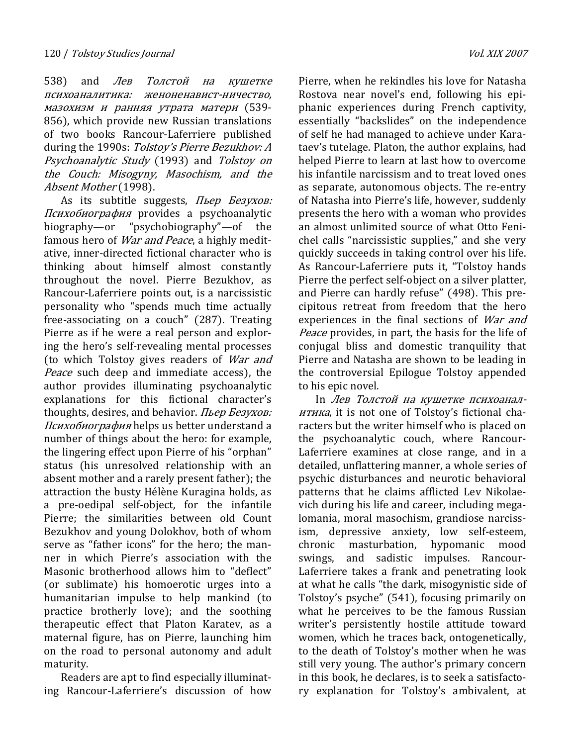538) and *Лев Толстой на кушетке* психоаналитика: женоненавист-ничество, мазохизм и ранняя утрата матери (539- 856), which provide new Russian translations of two books Rancour-Laferriere published during the 1990s: Tolstoy's Pierre Bezukhov: A Psychoanalytic Study (1993) and Tolstoy on the Couch: Misogyny, Masochism, and the Absent Mother (1998).

As its subtitle suggests, *Пьер Безухов:* Психобиография provides a psychoanalytic biography—or "psychobiography"—of the famous hero of *War and Peace*, a highly meditative, inner-directed fictional character who is thinking about himself almost constantly throughout the novel. Pierre Bezukhov, as Rancour-Laferriere points out, is a narcissistic personality who "spends much time actually free-associating on a couch" (287). Treating Pierre as if he were a real person and exploring the hero's self-revealing mental processes (to which Tolstoy gives readers of War and Peace such deep and immediate access), the author provides illuminating psychoanalytic explanations for this fictional character's thoughts, desires, and behavior. Пьер Безухов: Психобиография helps us better understand a number of things about the hero: for example, the lingering effect upon Pierre of his "orphan" status (his unresolved relationship with an absent mother and a rarely present father); the attraction the busty Hélène Kuragina holds, as a pre-oedipal self-object, for the infantile Pierre; the similarities between old Count Bezukhov and young Dolokhov, both of whom serve as "father icons" for the hero; the manner in which Pierre's association with the Masonic brotherhood allows him to "deflect" (or sublimate) his homoerotic urges into a humanitarian impulse to help mankind (to practice brotherly love); and the soothing therapeutic effect that Platon Karatev, as a maternal figure, has on Pierre, launching him on the road to personal autonomy and adult maturity.

Readers are apt to find especially illuminating Rancour-Laferriere's discussion of how Pierre, when he rekindles his love for Natasha Rostova near novel's end, following his epiphanic experiences during French captivity, essentially "backslides" on the independence of self he had managed to achieve under Karataev's tutelage. Platon, the author explains, had helped Pierre to learn at last how to overcome his infantile narcissism and to treat loved ones as separate, autonomous objects. The re-entry of Natasha into Pierre's life, however, suddenly presents the hero with a woman who provides an almost unlimited source of what Otto Fenichel calls "narcissistic supplies," and she very quickly succeeds in taking control over his life. As Rancour-Laferriere puts it, "Tolstoy hands Pierre the perfect self-object on a silver platter, and Pierre can hardly refuse" (498). This precipitous retreat from freedom that the hero experiences in the final sections of War and Peace provides, in part, the basis for the life of conjugal bliss and domestic tranquility that Pierre and Natasha are shown to be leading in the controversial Epilogue Tolstoy appended to his epic novel.

In Лев Толстой на кушетке психоаналитика, it is not one of Tolstoy's fictional characters but the writer himself who is placed on the psychoanalytic couch, where Rancour-Laferriere examines at close range, and in a detailed, unflattering manner, a whole series of psychic disturbances and neurotic behavioral patterns that he claims afflicted Lev Nikolaevich during his life and career, including megalomania, moral masochism, grandiose narcissism, depressive anxiety, low self-esteem, chronic masturbation, hypomanic mood swings, and sadistic impulses. Rancour-Laferriere takes a frank and penetrating look at what he calls "the dark, misogynistic side of Tolstoy's psyche" (541), focusing primarily on what he perceives to be the famous Russian writer's persistently hostile attitude toward women, which he traces back, ontogenetically, to the death of Tolstoy's mother when he was still very young. The author's primary concern in this book, he declares, is to seek a satisfactory explanation for Tolstoy's ambivalent, at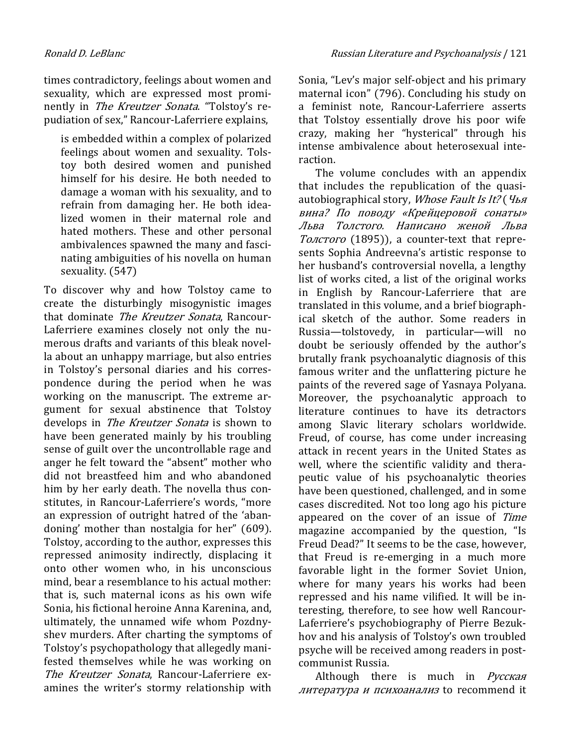times contradictory, feelings about women and sexuality, which are expressed most prominently in The Kreutzer Sonata. "Tolstoy's repudiation of sex," Rancour-Laferriere explains,

is embedded within a complex of polarized feelings about women and sexuality. Tolstoy both desired women and punished himself for his desire. He both needed to damage a woman with his sexuality, and to refrain from damaging her. He both idealized women in their maternal role and hated mothers. These and other personal ambivalences spawned the many and fascinating ambiguities of his novella on human sexuality. (547)

To discover why and how Tolstoy came to create the disturbingly misogynistic images that dominate The Kreutzer Sonata, Rancour-Laferriere examines closely not only the numerous drafts and variants of this bleak novella about an unhappy marriage, but also entries in Tolstoy's personal diaries and his correspondence during the period when he was working on the manuscript. The extreme argument for sexual abstinence that Tolstoy develops in The Kreutzer Sonata is shown to have been generated mainly by his troubling sense of guilt over the uncontrollable rage and anger he felt toward the "absent" mother who did not breastfeed him and who abandoned him by her early death. The novella thus constitutes, in Rancour-Laferriere's words, "more an expression of outright hatred of the 'abandoning' mother than nostalgia for her" (609). Tolstoy, according to the author, expresses this repressed animosity indirectly, displacing it onto other women who, in his unconscious mind, bear a resemblance to his actual mother: that is, such maternal icons as his own wife Sonia, his fictional heroine Anna Karenina, and, ultimately, the unnamed wife whom Pozdnyshev murders. After charting the symptoms of Tolstoy's psychopathology that allegedly manifested themselves while he was working on The Kreutzer Sonata, Rancour-Laferriere examines the writer's stormy relationship with

Sonia, "Lev's major self-object and his primary maternal icon" (796). Concluding his study on a feminist note, Rancour-Laferriere asserts that Tolstoy essentially drove his poor wife crazy, making her "hysterical" through his intense ambivalence about heterosexual interaction.

The volume concludes with an appendix that includes the republication of the quasiautobiographical story, Whose Fault Is It? (Чья вина? По поводу «Крейцеровой сонаты» Льва Толстого. Написано женой Льва Толстого (1895)), a counter-text that represents Sophia Andreevna's artistic response to her husband's controversial novella, a lengthy list of works cited, a list of the original works in English by Rancour-Laferriere that are translated in this volume, and a brief biographical sketch of the author. Some readers in Russia—tolstovedy, in particular—will no doubt be seriously offended by the author's brutally frank psychoanalytic diagnosis of this famous writer and the unflattering picture he paints of the revered sage of Yasnaya Polyana. Moreover, the psychoanalytic approach to literature continues to have its detractors among Slavic literary scholars worldwide. Freud, of course, has come under increasing attack in recent years in the United States as well, where the scientific validity and therapeutic value of his psychoanalytic theories have been questioned, challenged, and in some cases discredited. Not too long ago his picture appeared on the cover of an issue of Time magazine accompanied by the question, "Is Freud Dead?" It seems to be the case, however, that Freud is re-emerging in a much more favorable light in the former Soviet Union, where for many years his works had been repressed and his name vilified. It will be interesting, therefore, to see how well Rancour-Laferriere's psychobiography of Pierre Bezukhov and his analysis of Tolstoy's own troubled psyche will be received among readers in postcommunist Russia.

Although there is much in Русская литература и психоанализ to recommend it